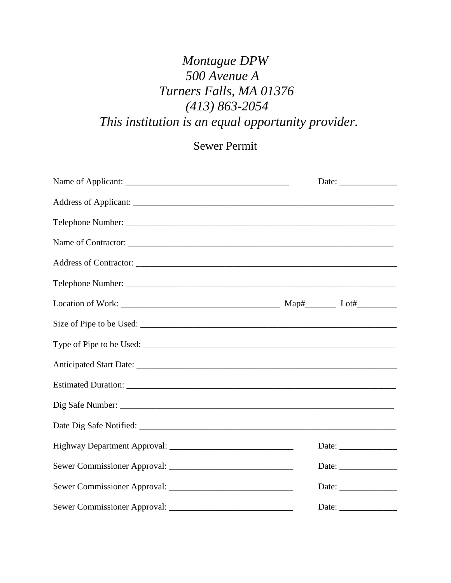## *Montague DPW 500 Avenue A Turners Falls, MA 01376 (413) 863-2054 This institution is an equal opportunity provider.*

## Sewer Permit

|  | Date: $\frac{1}{\sqrt{1-\frac{1}{2}}\cdot\frac{1}{2}}$   |
|--|----------------------------------------------------------|
|  |                                                          |
|  |                                                          |
|  |                                                          |
|  |                                                          |
|  |                                                          |
|  |                                                          |
|  |                                                          |
|  |                                                          |
|  |                                                          |
|  |                                                          |
|  |                                                          |
|  |                                                          |
|  | Date: $\frac{1}{\sqrt{1-\frac{1}{2}}\cdot\frac{1}{2}}$   |
|  | Date:                                                    |
|  | Date: $\frac{1}{\sqrt{1-\frac{1}{2}} \cdot \frac{1}{2}}$ |
|  | Date: $\frac{1}{\sqrt{1-\frac{1}{2}}\cdot\frac{1}{2}}$   |